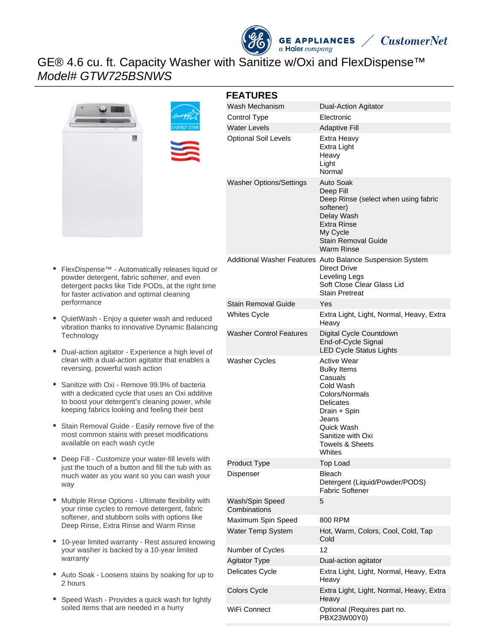# GE® 4.6 cu. ft. Capacity Washer with Sanitize w/Oxi and FlexDispense™ Model# GTW725BSNWS



**GE APPLIANCES**  $a$  Haier company

**CustomerNet** 

- $\bullet$ FlexDispense™ - Automatically releases liquid or powder detergent, fabric softener, and even detergent packs like Tide PODs, at the right time for faster activation and optimal cleaning performance
- $\bullet$ QuietWash - Enjoy a quieter wash and reduced vibration thanks to innovative Dynamic Balancing **Technology**
- Dual-action agitator Experience a high level of clean with a dual-action agitator that enables a reversing, powerful wash action
- Sanitize with Oxi Remove 99.9% of bacteria with a dedicated cycle that uses an Oxi additive to boost your detergent's cleaning power, while keeping fabrics looking and feeling their best
- Stain Removal Guide Easily remove five of the most common stains with preset modifications available on each wash cycle
- Deep Fill Customize your water-fill levels with just the touch of a button and fill the tub with as much water as you want so you can wash your way
- Multiple Rinse Options Ultimate flexibility with your rinse cycles to remove detergent, fabric softener, and stubborn soils with options like Deep Rinse, Extra Rinse and Warm Rinse
- 10-year limited warranty Rest assured knowing your washer is backed by a 10-year limited warranty
- Auto Soak Loosens stains by soaking for up to 2 hours
- Speed Wash Provides a quick wash for lightly soiled items that are needed in a hurry

| <b>FEATURES</b>                 |                                                                                                                                                                                                     |
|---------------------------------|-----------------------------------------------------------------------------------------------------------------------------------------------------------------------------------------------------|
| Wash Mechanism                  | <b>Dual-Action Agitator</b>                                                                                                                                                                         |
| Control Type                    | Electronic                                                                                                                                                                                          |
| <b>Water Levels</b>             | <b>Adaptive Fill</b>                                                                                                                                                                                |
| <b>Optional Soil Levels</b>     | Extra Heavy<br>Extra Light<br>Heavy<br>Light<br>Normal                                                                                                                                              |
| <b>Washer Options/Settings</b>  | Auto Soak<br>Deep Fill<br>Deep Rinse (select when using fabric<br>softener)<br>Delay Wash<br>Extra Rinse<br>My Cycle<br>Stain Removal Guide<br>Warm Rinse                                           |
|                                 | Additional Washer Features Auto Balance Suspension System<br>Direct Drive<br>Leveling Legs<br>Soft Close Clear Glass Lid<br><b>Stain Pretreat</b>                                                   |
| Stain Removal Guide             | Yes                                                                                                                                                                                                 |
| <b>Whites Cycle</b>             | Extra Light, Light, Normal, Heavy, Extra<br>Heavy                                                                                                                                                   |
| <b>Washer Control Features</b>  | Digital Cycle Countdown<br>End-of-Cycle Signal<br><b>LED Cycle Status Lights</b>                                                                                                                    |
| <b>Washer Cycles</b>            | <b>Active Wear</b><br><b>Bulky Items</b><br>Casuals<br>Cold Wash<br>Colors/Normals<br>Delicates<br>Drain + Spin<br>Jeans<br>Quick Wash<br>Sanitize with Oxi<br><b>Towels &amp; Sheets</b><br>Whites |
| Product Type                    | <b>Top Load</b>                                                                                                                                                                                     |
| Dispenser                       | <b>Bleach</b><br>Detergent (Liquid/Powder/PODS)<br><b>Fabric Softener</b>                                                                                                                           |
| Wash/Spin Speed<br>Combinations | 5                                                                                                                                                                                                   |
| Maximum Spin Speed              | 800 RPM                                                                                                                                                                                             |
| Water Temp System               | Hot, Warm, Colors, Cool, Cold, Tap<br>Cold                                                                                                                                                          |
| Number of Cycles                | 12                                                                                                                                                                                                  |
| <b>Agitator Type</b>            | Dual-action agitator                                                                                                                                                                                |
| Delicates Cycle                 | Extra Light, Light, Normal, Heavy, Extra<br>Heavy                                                                                                                                                   |
| Colors Cycle                    | Extra Light, Light, Normal, Heavy, Extra<br>Heavy                                                                                                                                                   |

WiFi Connect **Optional (Requires part no.** 

PBX23W00Y0)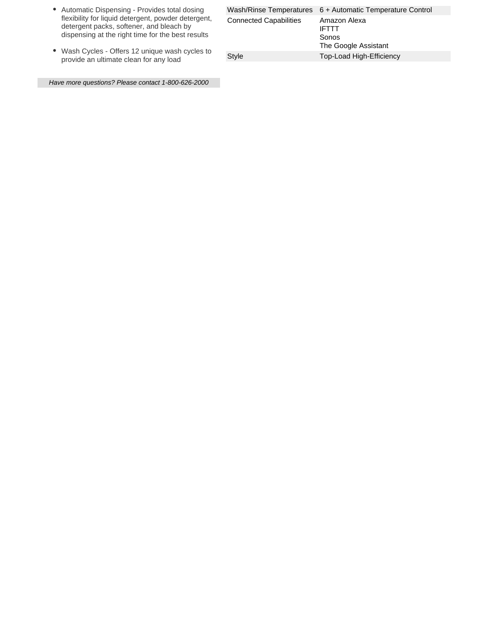- Automatic Dispensing Provides total dosing flexibility for liquid detergent, powder detergent, detergent packs, softener, and bleach by dispensing at the right time for the best results
- Wash Cycles Offers 12 unique wash cycles to provide an ultimate clean for any load

|                               | Wash/Rinse Temperatures 6 + Automatic Temperature Control     |
|-------------------------------|---------------------------------------------------------------|
| <b>Connected Capabilities</b> | Amazon Alexa<br><b>IFTTT</b><br>Sonos<br>The Google Assistant |
| Style                         | Top-Load High-Efficiency                                      |
|                               |                                                               |

Have more questions? Please contact 1-800-626-2000